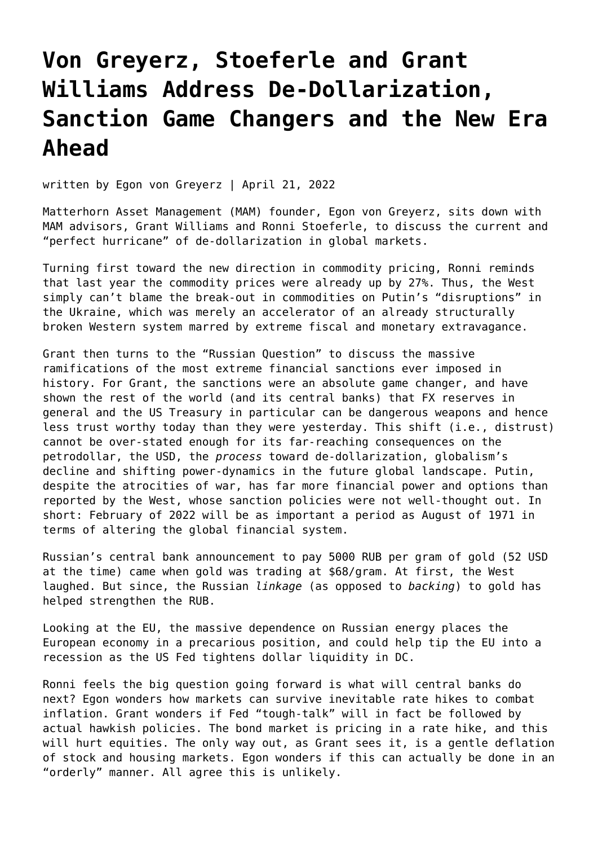## **[Von Greyerz, Stoeferle and Grant](https://goldswitzerland.com/de-dollarization/) [Williams Address De-Dollarization,](https://goldswitzerland.com/de-dollarization/) [Sanction Game Changers and the New Era](https://goldswitzerland.com/de-dollarization/) [Ahead](https://goldswitzerland.com/de-dollarization/)**

written by Egon von Greyerz | April 21, 2022

Matterhorn Asset Management (MAM) founder, [Egon von Greyerz](https://goldswitzerland.com/author/egon-von-greyerz/), sits down with MAM advisors, Grant Williams and Ronni Stoeferle, to discuss the current and "perfect hurricane" of de-dollarization in global markets.

Turning first toward the new direction in commodity pricing, Ronni reminds that last year the commodity prices were already up by 27%. Thus, the West simply can't blame the break-out in commodities on Putin's "disruptions" in the Ukraine, which was merely an accelerator of an already structurally broken Western system marred by extreme fiscal and monetary extravagance.

Grant then turns to the "Russian Question" to discuss the massive ramifications of the most extreme financial sanctions ever imposed in history. For Grant, the sanctions were an absolute game changer, and have shown the rest of the world (and its central banks) that FX reserves in general and the US Treasury in particular can be dangerous weapons and hence less trust worthy today than they were yesterday. This shift (i.e., distrust) cannot be over-stated enough for its far-reaching consequences on the petrodollar, the USD, the *process* toward de-dollarization, globalism's decline and shifting power-dynamics in the future global landscape. Putin, despite the atrocities of war, has far more financial power and options than reported by the West, whose sanction policies were not well-thought out. In short: February of 2022 will be as important a period as August of 1971 in terms of altering the global financial system.

Russian's central bank announcement to pay 5000 [RUB](https://www.xe.com/currencycharts/?from=RUB&to=USD) per gram of gold (52 USD at the time) came when gold was trading at \$68/gram. At first, the West laughed. But since, the Russian *linkage* (as opposed to *backing*) to gold has helped strengthen the RUB.

Looking at the EU, the massive dependence on Russian energy places the European economy in a precarious position, and could help tip the EU into a recession as the US Fed tightens dollar liquidity in DC.

Ronni feels the big question going forward is what will central banks do next? Egon wonders how markets can survive inevitable rate hikes to combat inflation. Grant wonders if Fed "tough-talk" will in fact be followed by actual hawkish policies. The bond market is pricing in a rate hike, and this will hurt equities. The only way out, as Grant sees it, is a gentle deflation of stock and housing markets. Egon wonders if this can actually be done in an "orderly" manner. All agree this is unlikely.